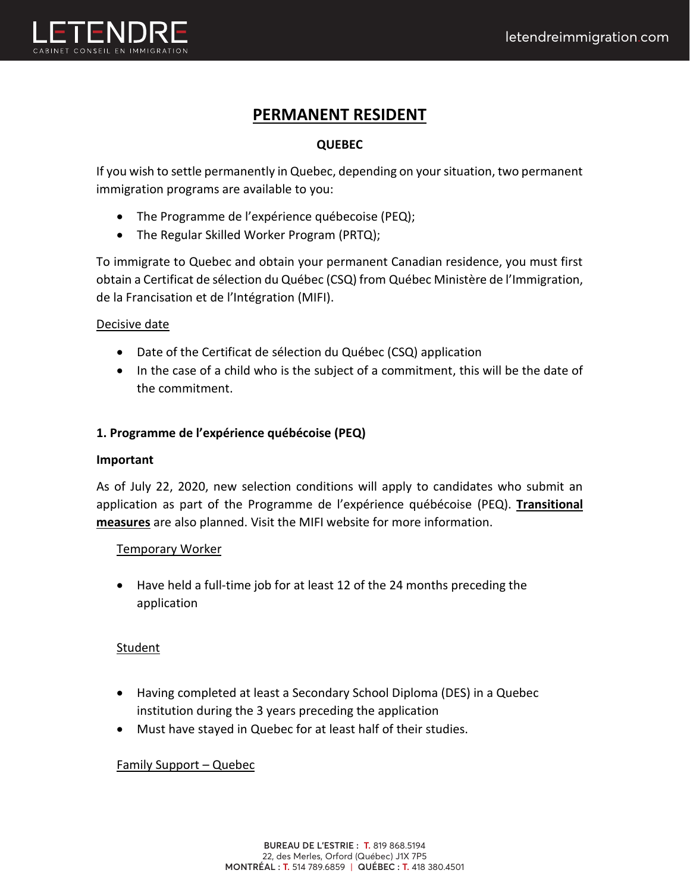

# **PERMANENT RESIDENT**

# **QUEBEC**

If you wish to settle permanently in Quebec, depending on your situation, two permanent immigration programs are available to you:

- The Programme de l'expérience québecoise (PEQ);
- The Regular Skilled Worker Program (PRTQ);

To immigrate to Quebec and obtain your permanent Canadian residence, you must first obtain a Certificat de sélection du Québec (CSQ) from Québec Ministère de l'Immigration, de la Francisation et de l'Intégration (MIFI).

# Decisive date

- Date of the Certificat de sélection du Québec (CSQ) application
- In the case of a child who is the subject of a commitment, this will be the date of the commitment.

# **1. Programme de l'expérience québécoise (PEQ)**

# **Important**

As of July 22, 2020, new selection conditions will apply to candidates who submit an application as part of the Programme de l'expérience québécoise (PEQ). **Transitional measures** are also planned. Visit the MIFI website for more information.

# Temporary Worker

• Have held a full-time job for at least 12 of the 24 months preceding the application

# **Student**

- Having completed at least a Secondary School Diploma (DES) in a Quebec institution during the 3 years preceding the application
- Must have stayed in Quebec for at least half of their studies.

# Family Support – Quebec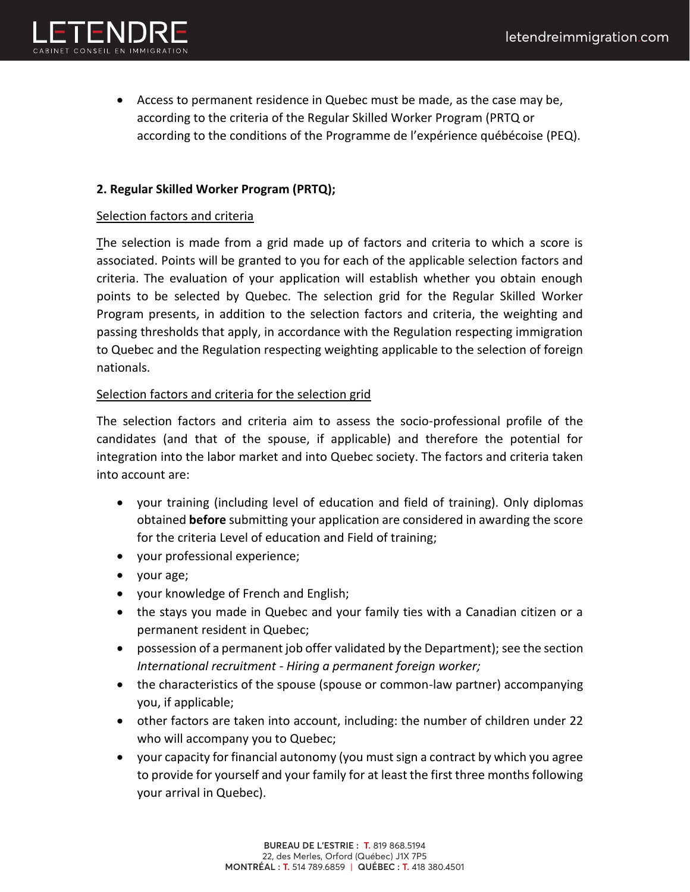

• Access to permanent residence in Quebec must be made, as the case may be, according to the criteria of the Regular Skilled Worker Program (PRTQ or according to the conditions of the Programme de l'expérience québécoise (PEQ).

# **2. Regular Skilled Worker Program (PRTQ);**

#### Selection factors and criteria

The selection is made from a grid made up of factors and criteria to which a score is associated. Points will be granted to you for each of the applicable selection factors and criteria. The evaluation of your application will establish whether you obtain enough points to be selected by Quebec. The selection grid for the Regular Skilled Worker Program presents, in addition to the selection factors and criteria, the weighting and passing thresholds that apply, in accordance with the Regulation respecting immigration to Quebec and the Regulation respecting weighting applicable to the selection of foreign nationals.

# Selection factors and criteria for the selection grid

The selection factors and criteria aim to assess the socio-professional profile of the candidates (and that of the spouse, if applicable) and therefore the potential for integration into the labor market and into Quebec society. The factors and criteria taken into account are:

- your training (including level of education and field of training). Only diplomas obtained **before** submitting your application are considered in awarding the score for the criteria Level of education and Field of training;
- your professional experience;
- your age;
- your knowledge of French and English;
- the stays you made in Quebec and your family ties with a Canadian citizen or a permanent resident in Quebec;
- possession of a permanent job offer validated by the Department); see the section *International recruitment - Hiring a permanent foreign worker;*
- the characteristics of the spouse (spouse or common-law partner) accompanying you, if applicable;
- other factors are taken into account, including: the number of children under 22 who will accompany you to Quebec;
- your capacity for financial autonomy (you must sign a contract by which you agree to provide for yourself and your family for at least the first three months following your arrival in Quebec).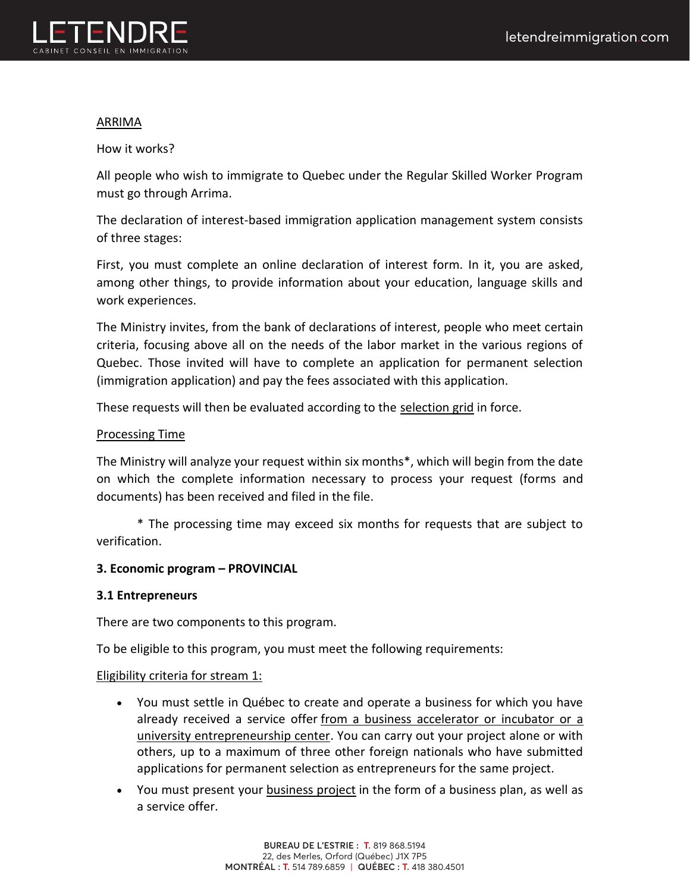

### ARRIMA

How it works?

All people who wish to immigrate to Quebec under the Regular Skilled Worker Program must go through Arrima.

The declaration of interest-based immigration application management system consists of three stages:

First, you must complete an online declaration of interest form. In it, you are asked, among other things, to provide information about your education, language skills and work experiences.

The Ministry invites, from the bank of declarations of interest, people who meet certain criteria, focusing above all on the needs of the labor market in the various regions of Quebec. Those invited will have to complete an application for permanent selection (immigration application) and pay the fees associated with this application.

These requests will then be evaluated according to the selection grid in force.

# Processing Time

The Ministry will analyze your request within six months\*, which will begin from the date on which the complete information necessary to process your request (forms and documents) has been received and filed in the file.

\* The processing time may exceed six months for requests that are subject to verification.

#### **3. Economic program – PROVINCIAL**

# **3.1 Entrepreneurs**

There are two components to this program.

To be eligible to this program, you must meet the following requirements:

#### Eligibility criteria for stream 1:

- You must settle in Québec to create and operate a business for which you have already received a service offer from a business accelerator or incubator or a university entrepreneurship center. You can carry out your project alone or with others, up to a maximum of three other foreign nationals who have submitted applications for permanent selection as entrepreneurs for the same project.
- You must present your business project in the form of a business plan, as well as a service offer.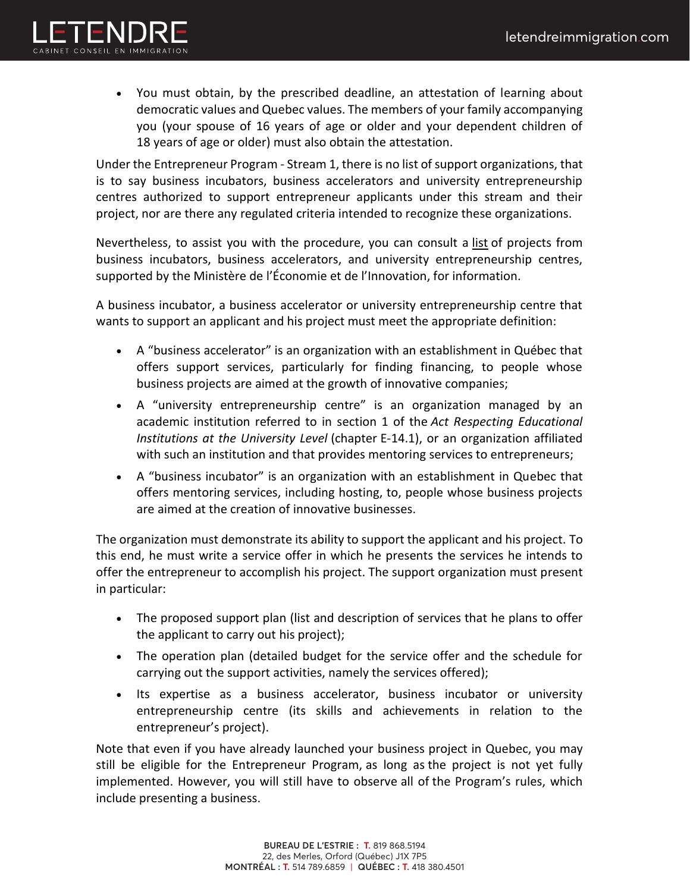

• You must obtain, by the prescribed deadline, an attestation of learning about democratic values and Quebec values. The members of your family accompanying you (your spouse of 16 years of age or older and your dependent children of 18 years of age or older) must also obtain the attestation.

Under the Entrepreneur Program - Stream 1, there is no list of support organizations, that is to say business incubators, business accelerators and university entrepreneurship centres authorized to support entrepreneur applicants under this stream and their project, nor are there any regulated criteria intended to recognize these organizations.

Nevertheless, to assist you with the procedure, you can consult a list of projects from business incubators, business accelerators, and university entrepreneurship centres, supported by the Ministère de l'Économie et de l'Innovation, for information.

A business incubator, a business accelerator or university entrepreneurship centre that wants to support an applicant and his project must meet the appropriate definition:

- A "business accelerator" is an organization with an establishment in Québec that offers support services, particularly for finding financing, to people whose business projects are aimed at the growth of innovative companies;
- A "university entrepreneurship centre" is an organization managed by an academic institution referred to in section 1 of the *Act Respecting Educational Institutions at the University Level* (chapter E-14.1), or an organization affiliated with such an institution and that provides mentoring services to entrepreneurs;
- A "business incubator" is an organization with an establishment in Quebec that offers mentoring services, including hosting, to, people whose business projects are aimed at the creation of innovative businesses.

The organization must demonstrate its ability to support the applicant and his project. To this end, he must write a service offer in which he presents the services he intends to offer the entrepreneur to accomplish his project. The support organization must present in particular:

- The proposed support plan (list and description of services that he plans to offer the applicant to carry out his project);
- The operation plan (detailed budget for the service offer and the schedule for carrying out the support activities, namely the services offered);
- Its expertise as a business accelerator, business incubator or university entrepreneurship centre (its skills and achievements in relation to the entrepreneur's project).

Note that even if you have already launched your business project in Quebec, you may still be eligible for the Entrepreneur Program, as long as the project is not yet fully implemented. However, you will still have to observe all of the Program's rules, which include presenting a business.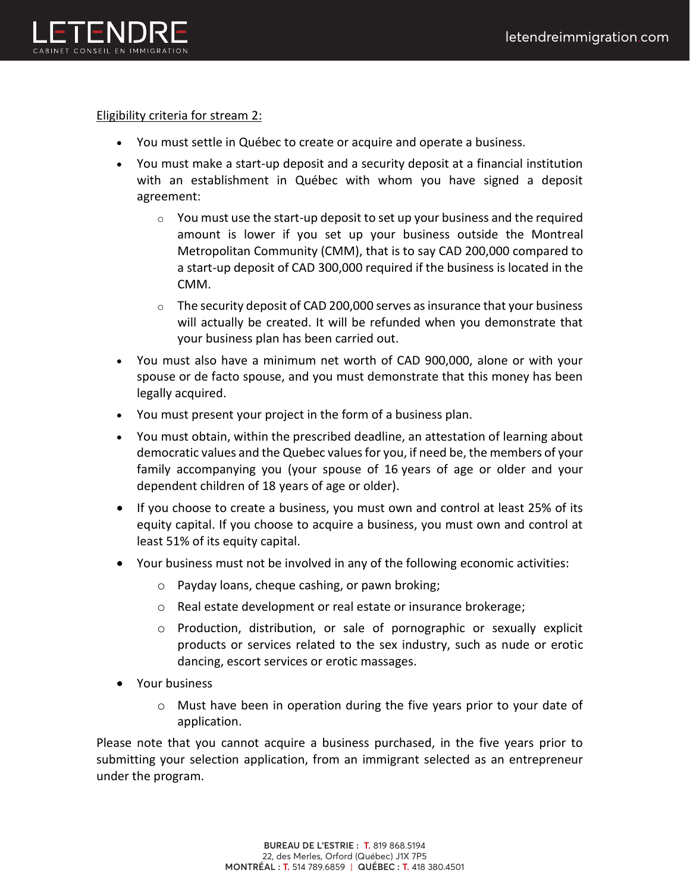

#### Eligibility criteria for stream 2:

- You must settle in Québec to create or acquire and operate a business.
- You must make a start-up deposit and a security deposit at a financial institution with an establishment in Québec with whom you have signed a deposit agreement:
	- $\circ$  You must use the start-up deposit to set up your business and the required amount is lower if you set up your business outside the Montreal Metropolitan Community (CMM), that is to say CAD 200,000 compared to a start-up deposit of CAD 300,000 required if the business is located in the CMM.
	- $\circ$  The security deposit of CAD 200,000 serves as insurance that your business will actually be created. It will be refunded when you demonstrate that your business plan has been carried out.
- You must also have a minimum net worth of CAD 900,000, alone or with your spouse or de facto spouse, and you must demonstrate that this money has been legally acquired.
- You must present your project in the form of a business plan.
- You must obtain, within the prescribed deadline, an attestation of learning about democratic values and the Quebec values for you, if need be, the members of your family accompanying you (your spouse of 16 years of age or older and your dependent children of 18 years of age or older).
- If you choose to create a business, you must own and control at least 25% of its equity capital. If you choose to acquire a business, you must own and control at least 51% of its equity capital.
- Your business must not be involved in any of the following economic activities:
	- o Payday loans, cheque cashing, or pawn broking;
	- o Real estate development or real estate or insurance brokerage;
	- $\circ$  Production, distribution, or sale of pornographic or sexually explicit products or services related to the sex industry, such as nude or erotic dancing, escort services or erotic massages.
- Your business
	- o Must have been in operation during the five years prior to your date of application.

Please note that you cannot acquire a business purchased, in the five years prior to submitting your selection application, from an immigrant selected as an entrepreneur under the program.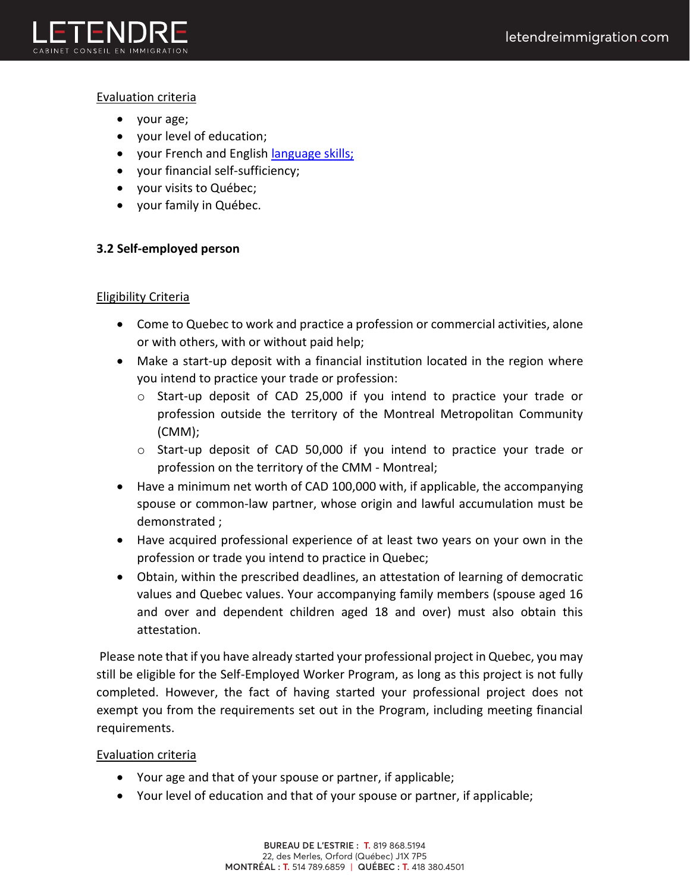

# Evaluation criteria

- your age;
- your level of education;
- your French and English language skills;
- your financial self-sufficiency;
- your visits to Québec;
- your family in Québec.

# **3.2 Self-employed person**

#### Eligibility Criteria

- Come to Quebec to work and practice a profession or commercial activities, alone or with others, with or without paid help;
- Make a start-up deposit with a financial institution located in the region where you intend to practice your trade or profession:
	- o Start-up deposit of CAD 25,000 if you intend to practice your trade or profession outside the territory of the Montreal Metropolitan Community (CMM);
	- o Start-up deposit of CAD 50,000 if you intend to practice your trade or profession on the territory of the CMM - Montreal;
- Have a minimum net worth of CAD 100,000 with, if applicable, the accompanying spouse or common-law partner, whose origin and lawful accumulation must be demonstrated ;
- Have acquired professional experience of at least two years on your own in the profession or trade you intend to practice in Quebec;
- Obtain, within the prescribed deadlines, an attestation of learning of democratic values and Quebec values. Your accompanying family members (spouse aged 16 and over and dependent children aged 18 and over) must also obtain this attestation.

Please note that if you have already started your professional project in Quebec, you may still be eligible for the Self-Employed Worker Program, as long as this project is not fully completed. However, the fact of having started your professional project does not exempt you from the requirements set out in the Program, including meeting financial requirements.

# Evaluation criteria

- Your age and that of your spouse or partner, if applicable;
- Your level of education and that of your spouse or partner, if applicable;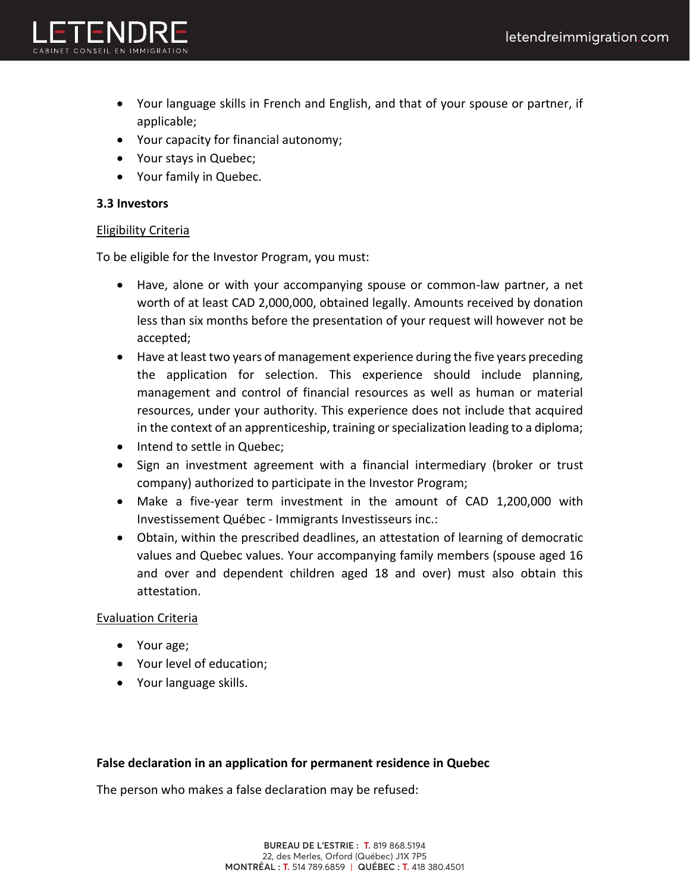

- Your language skills in French and English, and that of your spouse or partner, if applicable;
- Your capacity for financial autonomy;
- Your stays in Quebec;
- Your family in Quebec.

# **3.3 Investors**

# Eligibility Criteria

To be eligible for the Investor Program, you must:

- Have, alone or with your accompanying spouse or common-law partner, a net worth of at least CAD 2,000,000, obtained legally. Amounts received by donation less than six months before the presentation of your request will however not be accepted;
- Have at least two years of management experience during the five years preceding the application for selection. This experience should include planning, management and control of financial resources as well as human or material resources, under your authority. This experience does not include that acquired in the context of an apprenticeship, training or specialization leading to a diploma;
- Intend to settle in Quebec;
- Sign an investment agreement with a financial intermediary (broker or trust company) authorized to participate in the Investor Program;
- Make a five-year term investment in the amount of CAD 1,200,000 with Investissement Québec - Immigrants Investisseurs inc.:
- Obtain, within the prescribed deadlines, an attestation of learning of democratic values and Quebec values. Your accompanying family members (spouse aged 16 and over and dependent children aged 18 and over) must also obtain this attestation.

# Evaluation Criteria

- Your age;
- Your level of education;
- Your language skills.

# **False declaration in an application for permanent residence in Quebec**

The person who makes a false declaration may be refused: